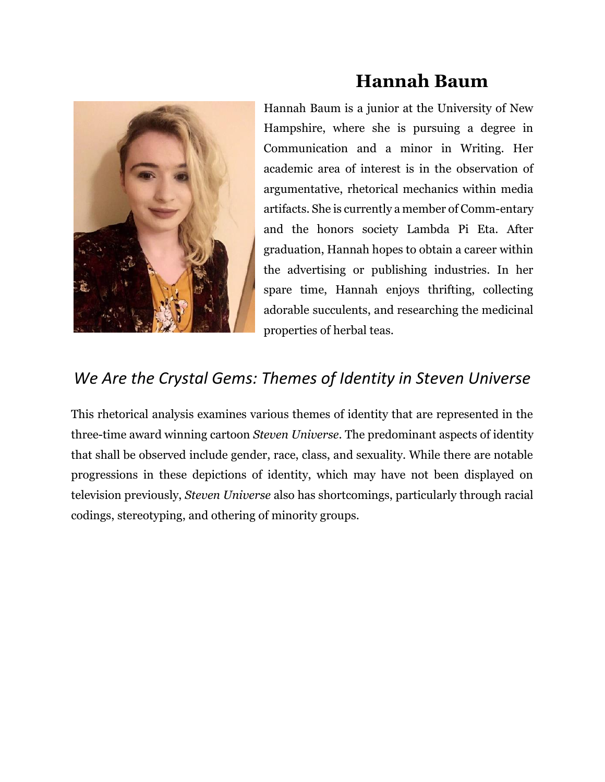

## **Hannah Baum**

Hannah Baum is a junior at the University of New Hampshire, where she is pursuing a degree in Communication and a minor in Writing. Her academic area of interest is in the observation of argumentative, rhetorical mechanics within media artifacts. She is currently a member of Comm-entary and the honors society Lambda Pi Eta. After graduation, Hannah hopes to obtain a career within the advertising or publishing industries. In her spare time, Hannah enjoys thrifting, collecting adorable succulents, and researching the medicinal properties of herbal teas.

## *We Are the Crystal Gems: Themes of Identity in Steven Universe*

This rhetorical analysis examines various themes of identity that are represented in the three-time award winning cartoon *Steven Universe*. The predominant aspects of identity that shall be observed include gender, race, class, and sexuality. While there are notable progressions in these depictions of identity, which may have not been displayed on television previously, *Steven Universe* also has shortcomings, particularly through racial codings, stereotyping, and othering of minority groups.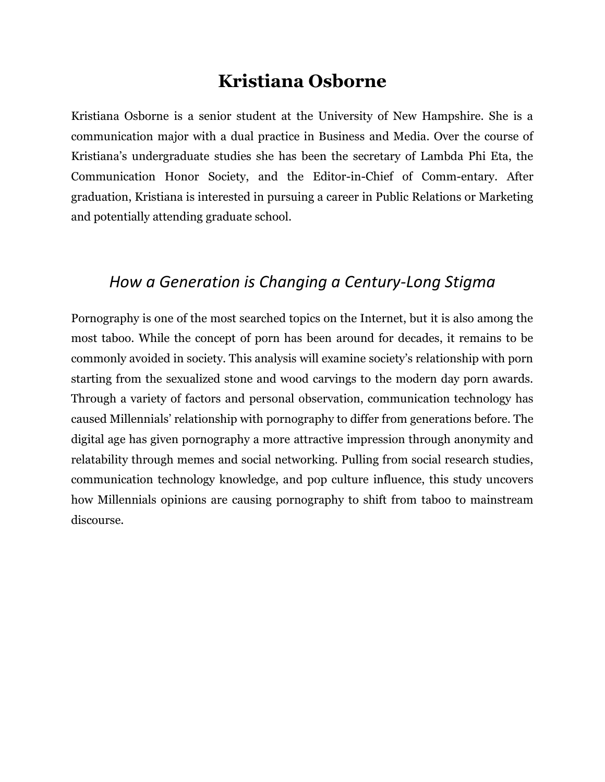### **Kristiana Osborne**

Kristiana Osborne is a senior student at the University of New Hampshire. She is a communication major with a dual practice in Business and Media. Over the course of Kristiana's undergraduate studies she has been the secretary of Lambda Phi Eta, the Communication Honor Society, and the Editor-in-Chief of Comm-entary. After graduation, Kristiana is interested in pursuing a career in Public Relations or Marketing and potentially attending graduate school.

#### *How a Generation is Changing a Century-Long Stigma*

Pornography is one of the most searched topics on the Internet, but it is also among the most taboo. While the concept of porn has been around for decades, it remains to be commonly avoided in society. This analysis will examine society's relationship with porn starting from the sexualized stone and wood carvings to the modern day porn awards. Through a variety of factors and personal observation, communication technology has caused Millennials' relationship with pornography to differ from generations before. The digital age has given pornography a more attractive impression through anonymity and relatability through memes and social networking. Pulling from social research studies, communication technology knowledge, and pop culture influence, this study uncovers how Millennials opinions are causing pornography to shift from taboo to mainstream discourse.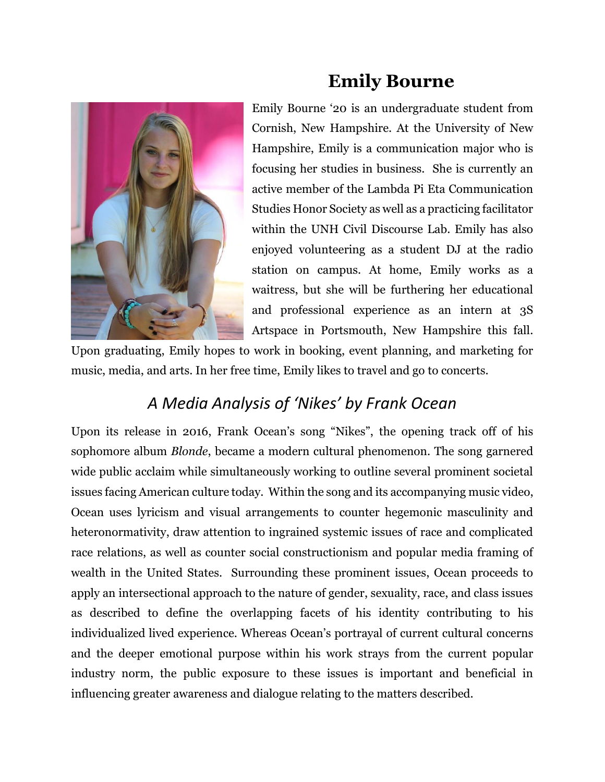

## **Emily Bourne**

Emily Bourne '20 is an undergraduate student from Cornish, New Hampshire. At the University of New Hampshire, Emily is a communication major who is focusing her studies in business. She is currently an active member of the Lambda Pi Eta Communication Studies Honor Society as well as a practicing facilitator within the UNH Civil Discourse Lab. Emily has also enjoyed volunteering as a student DJ at the radio station on campus. At home, Emily works as a waitress, but she will be furthering her educational and professional experience as an intern at 3S Artspace in Portsmouth, New Hampshire this fall.

Upon graduating, Emily hopes to work in booking, event planning, and marketing for music, media, and arts. In her free time, Emily likes to travel and go to concerts.

## *A Media Analysis of 'Nikes' by Frank Ocean*

Upon its release in 2016, Frank Ocean's song "Nikes", the opening track off of his sophomore album *Blonde*, became a modern cultural phenomenon. The song garnered wide public acclaim while simultaneously working to outline several prominent societal issues facing American culture today. Within the song and its accompanying music video, Ocean uses lyricism and visual arrangements to counter hegemonic masculinity and heteronormativity, draw attention to ingrained systemic issues of race and complicated race relations, as well as counter social constructionism and popular media framing of wealth in the United States. Surrounding these prominent issues, Ocean proceeds to apply an intersectional approach to the nature of gender, sexuality, race, and class issues as described to define the overlapping facets of his identity contributing to his individualized lived experience. Whereas Ocean's portrayal of current cultural concerns and the deeper emotional purpose within his work strays from the current popular industry norm, the public exposure to these issues is important and beneficial in influencing greater awareness and dialogue relating to the matters described.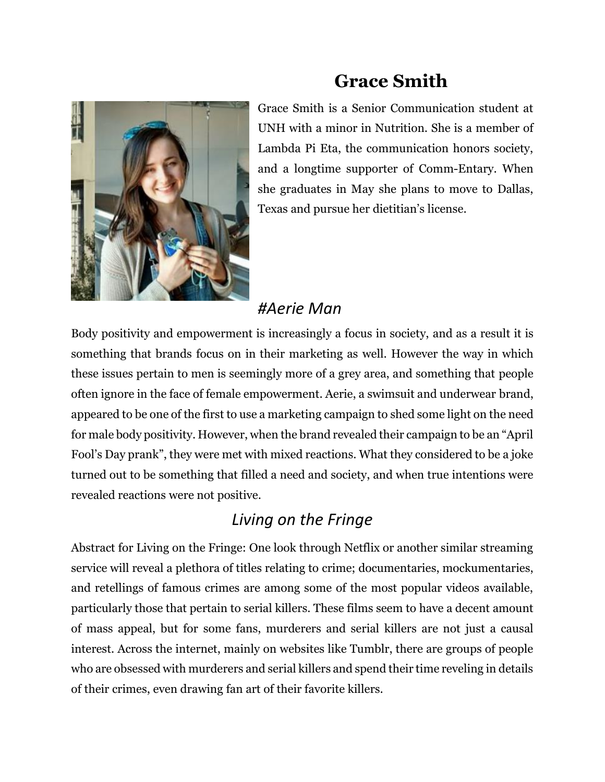

## **Grace Smith**

Grace Smith is a Senior Communication student at UNH with a minor in Nutrition. She is a member of Lambda Pi Eta, the communication honors society, and a longtime supporter of Comm-Entary. When she graduates in May she plans to move to Dallas, Texas and pursue her dietitian's license.

### *#Aerie Man*

Body positivity and empowerment is increasingly a focus in society, and as a result it is something that brands focus on in their marketing as well. However the way in which these issues pertain to men is seemingly more of a grey area, and something that people often ignore in the face of female empowerment. Aerie, a swimsuit and underwear brand, appeared to be one of the first to use a marketing campaign to shed some light on the need for male body positivity. However, when the brand revealed their campaign to be an "April Fool's Day prank", they were met with mixed reactions. What they considered to be a joke turned out to be something that filled a need and society, and when true intentions were revealed reactions were not positive.

### *Living on the Fringe*

Abstract for Living on the Fringe: One look through Netflix or another similar streaming service will reveal a plethora of titles relating to crime; documentaries, mockumentaries, and retellings of famous crimes are among some of the most popular videos available, particularly those that pertain to serial killers. These films seem to have a decent amount of mass appeal, but for some fans, murderers and serial killers are not just a causal interest. Across the internet, mainly on websites like Tumblr, there are groups of people who are obsessed with murderers and serial killers and spend their time reveling in details of their crimes, even drawing fan art of their favorite killers.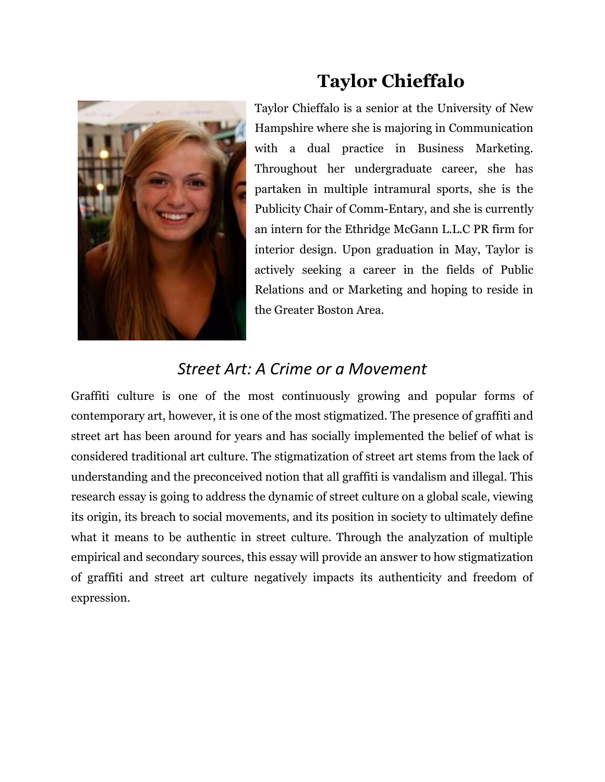

# **Taylor Chieffalo**

Taylor Chieffalo is a senior at the University of New Hampshire where she is majoring in Communication with a dual practice in Business Marketing. Throughout her undergraduate career, she has partaken in multiple intramural sports, she is the Publicity Chair of Comm-Entary, and she is currently an intern for the Ethridge McGann L.L.C PR firm for interior design. Upon graduation in May, Taylor is actively seeking a career in the fields of Public Relations and or Marketing and hoping to reside in the Greater Boston Area.

#### *Street Art: A Crime or a Movement*

Graffiti culture is one of the most continuously growing and popular forms of contemporary art, however, it is one of the most stigmatized. The presence of graffiti and street art has been around for years and has socially implemented the belief of what is considered traditional art culture. The stigmatization of street art stems from the lack of understanding and the preconceived notion that all graffiti is vandalism and illegal. This research essay is going to address the dynamic of street culture on a global scale, viewing its origin, its breach to social movements, and its position in society to ultimately define what it means to be authentic in street culture. Through the analyzation of multiple empirical and secondary sources, this essay will provide an answer to how stigmatization of graffiti and street art culture negatively impacts its authenticity and freedom of expression.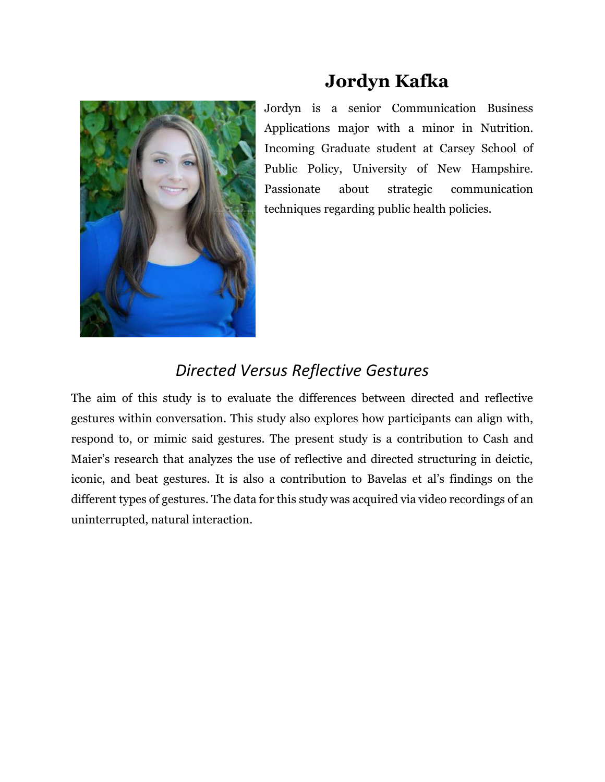

**Jordyn Kafka**

Jordyn is a senior Communication Business Applications major with a minor in Nutrition. Incoming Graduate student at Carsey School of Public Policy, University of New Hampshire. Passionate about strategic communication techniques regarding public health policies.

### *Directed Versus Reflective Gestures*

The aim of this study is to evaluate the differences between directed and reflective gestures within conversation. This study also explores how participants can align with, respond to, or mimic said gestures. The present study is a contribution to Cash and Maier's research that analyzes the use of reflective and directed structuring in deictic, iconic, and beat gestures. It is also a contribution to Bavelas et al's findings on the different types of gestures. The data for this study was acquired via video recordings of an uninterrupted, natural interaction.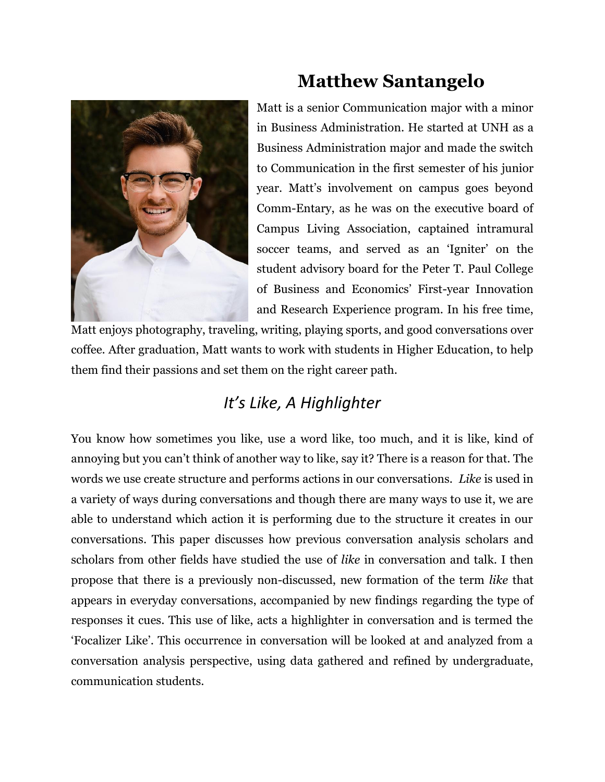

# **Matthew Santangelo**

Matt is a senior Communication major with a minor in Business Administration. He started at UNH as a Business Administration major and made the switch to Communication in the first semester of his junior year. Matt's involvement on campus goes beyond Comm-Entary, as he was on the executive board of Campus Living Association, captained intramural soccer teams, and served as an 'Igniter' on the student advisory board for the Peter T. Paul College of Business and Economics' First-year Innovation and Research Experience program. In his free time,

Matt enjoys photography, traveling, writing, playing sports, and good conversations over coffee. After graduation, Matt wants to work with students in Higher Education, to help them find their passions and set them on the right career path.

### *It's Like, A Highlighter*

You know how sometimes you like, use a word like, too much, and it is like, kind of annoying but you can't think of another way to like, say it? There is a reason for that. The words we use create structure and performs actions in our conversations. *Like* is used in a variety of ways during conversations and though there are many ways to use it, we are able to understand which action it is performing due to the structure it creates in our conversations. This paper discusses how previous conversation analysis scholars and scholars from other fields have studied the use of *like* in conversation and talk. I then propose that there is a previously non-discussed, new formation of the term *like* that appears in everyday conversations, accompanied by new findings regarding the type of responses it cues. This use of like, acts a highlighter in conversation and is termed the 'Focalizer Like'. This occurrence in conversation will be looked at and analyzed from a conversation analysis perspective, using data gathered and refined by undergraduate, communication students.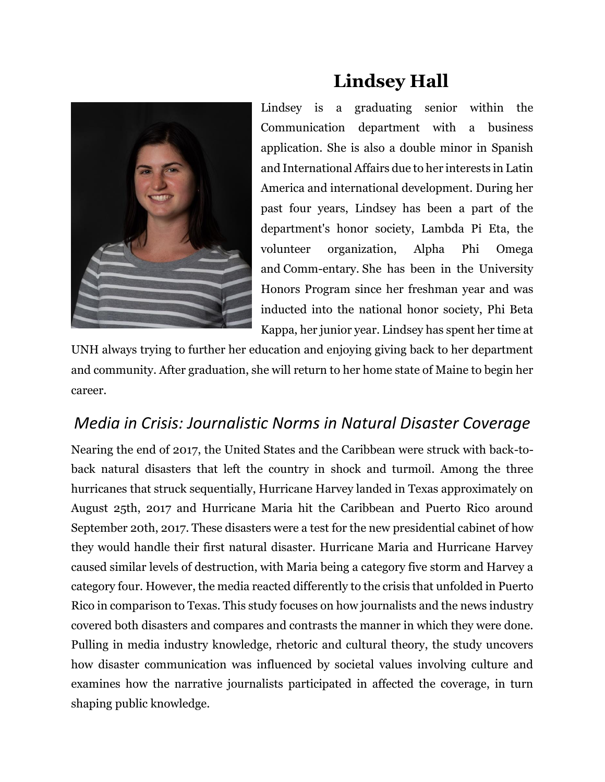

# **Lindsey Hall**

Lindsey is a graduating senior within the Communication department with a business application. She is also a double minor in Spanish and International Affairs due to her interests in Latin America and international development. During her past four years, Lindsey has been a part of the department's honor society, Lambda Pi Eta, the volunteer organization, Alpha Phi Omega and Comm-entary. She has been in the University Honors Program since her freshman year and was inducted into the national honor society, Phi Beta Kappa, her junior year. Lindsey has spent her time at

UNH always trying to further her education and enjoying giving back to her department and community. After graduation, she will return to her home state of Maine to begin her career.

### *Media in Crisis: Journalistic Norms in Natural Disaster Coverage*

Nearing the end of 2017, the United States and the Caribbean were struck with back-toback natural disasters that left the country in shock and turmoil. Among the three hurricanes that struck sequentially, Hurricane Harvey landed in Texas approximately on August 25th, 2017 and Hurricane Maria hit the Caribbean and Puerto Rico around September 20th, 2017. These disasters were a test for the new presidential cabinet of how they would handle their first natural disaster. Hurricane Maria and Hurricane Harvey caused similar levels of destruction, with Maria being a category five storm and Harvey a category four. However, the media reacted differently to the crisis that unfolded in Puerto Rico in comparison to Texas. This study focuses on how journalists and the news industry covered both disasters and compares and contrasts the manner in which they were done. Pulling in media industry knowledge, rhetoric and cultural theory, the study uncovers how disaster communication was influenced by societal values involving culture and examines how the narrative journalists participated in affected the coverage, in turn shaping public knowledge.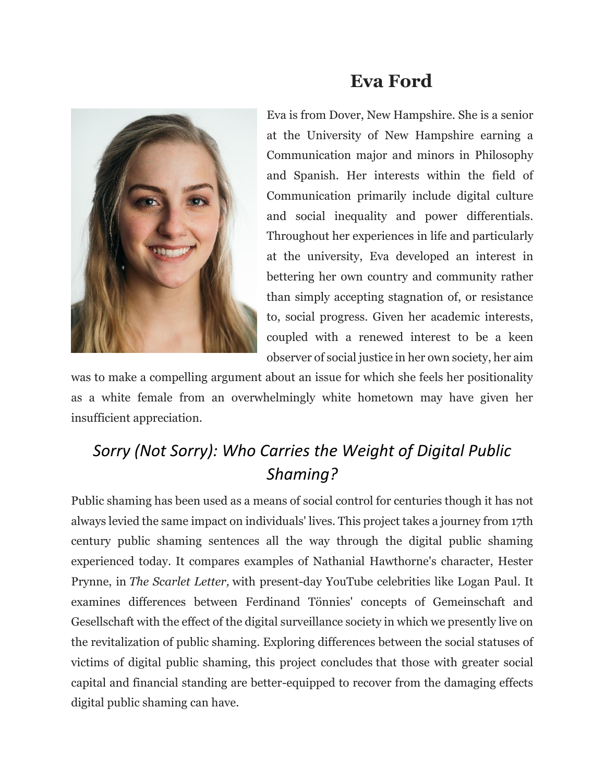

## **Eva Ford**

Eva is from Dover, New Hampshire. She is a senior at the University of New Hampshire earning a Communication major and minors in Philosophy and Spanish. Her interests within the field of Communication primarily include digital culture and social inequality and power differentials. Throughout her experiences in life and particularly at the university, Eva developed an interest in bettering her own country and community rather than simply accepting stagnation of, or resistance to, social progress. Given her academic interests, coupled with a renewed interest to be a keen observer of social justice in her own society, her aim

was to make a compelling argument about an issue for which she feels her positionality as a white female from an overwhelmingly white hometown may have given her insufficient appreciation.

## *Sorry (Not Sorry): Who Carries the Weight of Digital Public Shaming?*

Public shaming has been used as a means of social control for centuries though it has not always levied the same impact on individuals' lives. This project takes a journey from 17th century public shaming sentences all the way through the digital public shaming experienced today. It compares examples of Nathanial Hawthorne's character, Hester Prynne, in *The Scarlet Letter,* with present-day YouTube celebrities like Logan Paul. It examines differences between Ferdinand Tönnies' concepts of Gemeinschaft and Gesellschaft with the effect of the digital surveillance society in which we presently live on the revitalization of public shaming. Exploring differences between the social statuses of victims of digital public shaming, this project concludes that those with greater social capital and financial standing are better-equipped to recover from the damaging effects digital public shaming can have.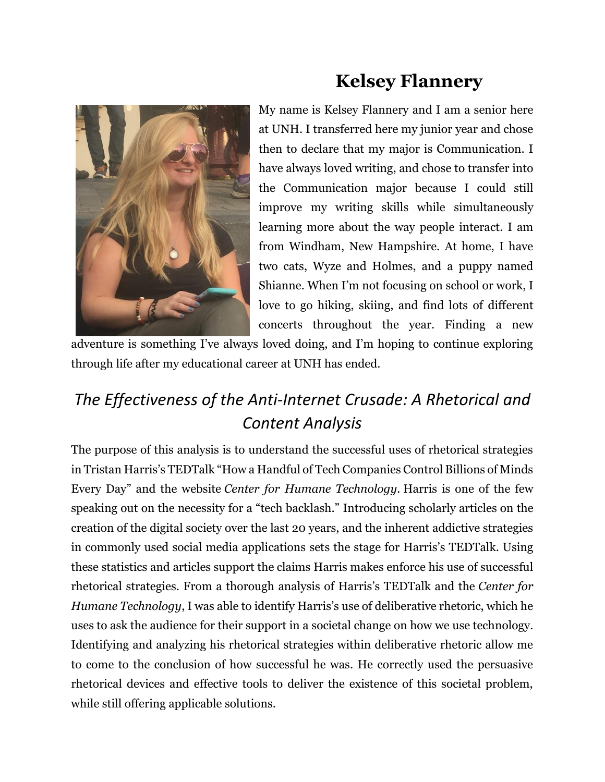

# **Kelsey Flannery**

My name is Kelsey Flannery and I am a senior here at UNH. I transferred here my junior year and chose then to declare that my major is Communication. I have always loved writing, and chose to transfer into the Communication major because I could still improve my writing skills while simultaneously learning more about the way people interact. I am from Windham, New Hampshire. At home, I have two cats, Wyze and Holmes, and a puppy named Shianne. When I'm not focusing on school or work, I love to go hiking, skiing, and find lots of different concerts throughout the year. Finding a new

adventure is something I've always loved doing, and I'm hoping to continue exploring through life after my educational career at UNH has ended.

## *The Effectiveness of the Anti-Internet Crusade: A Rhetorical and Content Analysis*

The purpose of this analysis is to understand the successful uses of rhetorical strategies in Tristan Harris's TEDTalk "How a Handful of Tech Companies Control Billions of Minds Every Day" and the website *Center for Humane Technology.* Harris is one of the few speaking out on the necessity for a "tech backlash." Introducing scholarly articles on the creation of the digital society over the last 20 years, and the inherent addictive strategies in commonly used social media applications sets the stage for Harris's TEDTalk. Using these statistics and articles support the claims Harris makes enforce his use of successful rhetorical strategies. From a thorough analysis of Harris's TEDTalk and the *Center for Humane Technology*, I was able to identify Harris's use of deliberative rhetoric, which he uses to ask the audience for their support in a societal change on how we use technology. Identifying and analyzing his rhetorical strategies within deliberative rhetoric allow me to come to the conclusion of how successful he was. He correctly used the persuasive rhetorical devices and effective tools to deliver the existence of this societal problem, while still offering applicable solutions.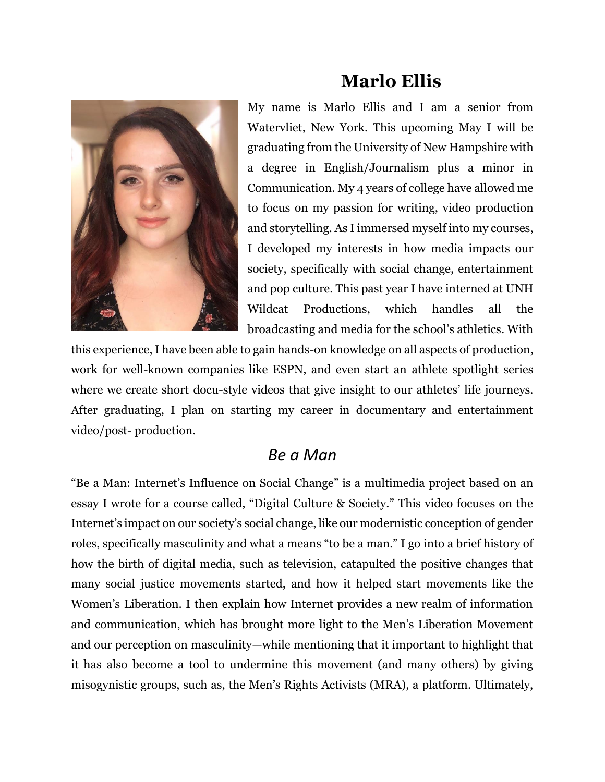

## **Marlo Ellis**

My name is Marlo Ellis and I am a senior from Watervliet, New York. This upcoming May I will be graduating from the University of New Hampshire with a degree in English/Journalism plus a minor in Communication. My 4 years of college have allowed me to focus on my passion for writing, video production and storytelling. As I immersed myself into my courses, I developed my interests in how media impacts our society, specifically with social change, entertainment and pop culture. This past year I have interned at UNH Wildcat Productions, which handles all the broadcasting and media for the school's athletics. With

this experience, I have been able to gain hands-on knowledge on all aspects of production, work for well-known companies like ESPN, and even start an athlete spotlight series where we create short docu-style videos that give insight to our athletes' life journeys. After graduating, I plan on starting my career in documentary and entertainment video/post- production.

#### *Be a Man*

"Be a Man: Internet's Influence on Social Change" is a multimedia project based on an essay I wrote for a course called, "Digital Culture & Society." This video focuses on the Internet's impact on our society's social change, like our modernistic conception of gender roles, specifically masculinity and what a means "to be a man." I go into a brief history of how the birth of digital media, such as television, catapulted the positive changes that many social justice movements started, and how it helped start movements like the Women's Liberation. I then explain how Internet provides a new realm of information and communication, which has brought more light to the Men's Liberation Movement and our perception on masculinity—while mentioning that it important to highlight that it has also become a tool to undermine this movement (and many others) by giving misogynistic groups, such as, the Men's Rights Activists (MRA), a platform. Ultimately,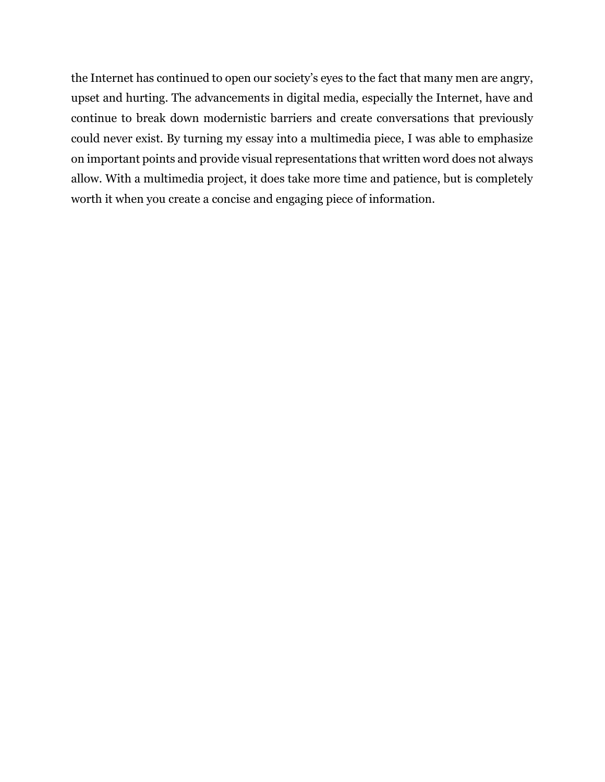the Internet has continued to open our society's eyes to the fact that many men are angry, upset and hurting. The advancements in digital media, especially the Internet, have and continue to break down modernistic barriers and create conversations that previously could never exist. By turning my essay into a multimedia piece, I was able to emphasize on important points and provide visual representations that written word does not always allow. With a multimedia project, it does take more time and patience, but is completely worth it when you create a concise and engaging piece of information.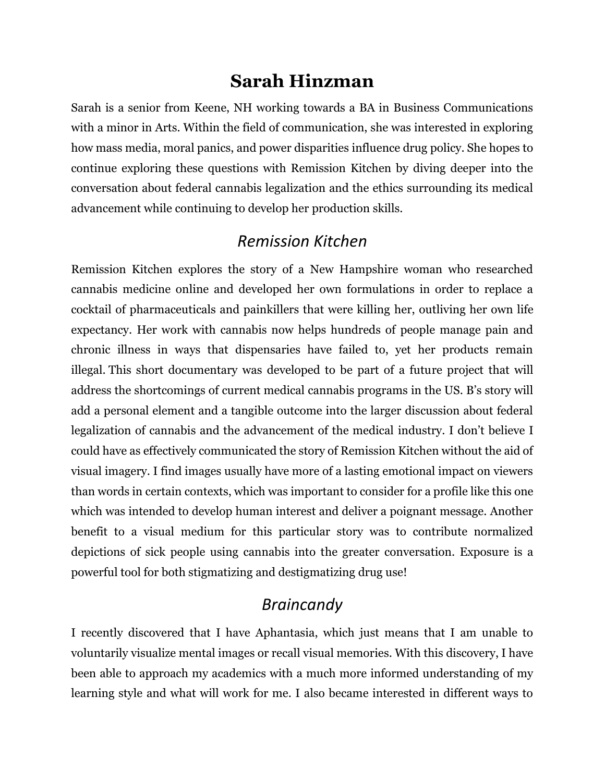## **Sarah Hinzman**

Sarah is a senior from Keene, NH working towards a BA in Business Communications with a minor in Arts. Within the field of communication, she was interested in exploring how mass media, moral panics, and power disparities influence drug policy. She hopes to continue exploring these questions with Remission Kitchen by diving deeper into the conversation about federal cannabis legalization and the ethics surrounding its medical advancement while continuing to develop her production skills.

#### *Remission Kitchen*

Remission Kitchen explores the story of a New Hampshire woman who researched cannabis medicine online and developed her own formulations in order to replace a cocktail of pharmaceuticals and painkillers that were killing her, outliving her own life expectancy. Her work with cannabis now helps hundreds of people manage pain and chronic illness in ways that dispensaries have failed to, yet her products remain illegal. This short documentary was developed to be part of a future project that will address the shortcomings of current medical cannabis programs in the US. B's story will add a personal element and a tangible outcome into the larger discussion about federal legalization of cannabis and the advancement of the medical industry. I don't believe I could have as effectively communicated the story of Remission Kitchen without the aid of visual imagery. I find images usually have more of a lasting emotional impact on viewers than words in certain contexts, which was important to consider for a profile like this one which was intended to develop human interest and deliver a poignant message. Another benefit to a visual medium for this particular story was to contribute normalized depictions of sick people using cannabis into the greater conversation. Exposure is a powerful tool for both stigmatizing and destigmatizing drug use!

#### *Braincandy*

I recently discovered that I have Aphantasia, which just means that I am unable to voluntarily visualize mental images or recall visual memories. With this discovery, I have been able to approach my academics with a much more informed understanding of my learning style and what will work for me. I also became interested in different ways to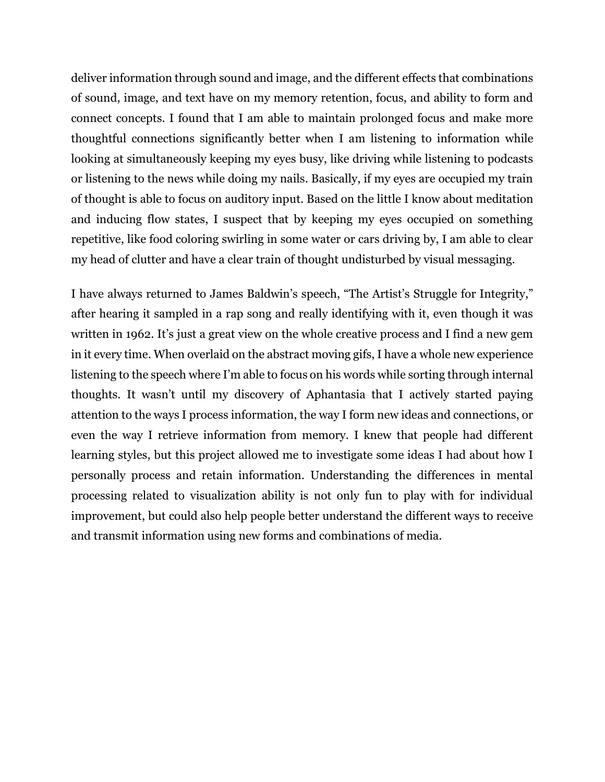deliver information through sound and image, and the different effects that combinations of sound, image, and text have on my memory retention, focus, and ability to form and connect concepts. I found that I am able to maintain prolonged focus and make more thoughtful connections significantly better when I am listening to information while looking at simultaneously keeping my eyes busy, like driving while listening to podcasts or listening to the news while doing my nails. Basically, if my eyes are occupied my train of thought is able to focus on auditory input. Based on the little I know about meditation and inducing flow states, I suspect that by keeping my eyes occupied on something repetitive, like food coloring swirling in some water or cars driving by, I am able to clear my head of clutter and have a clear train of thought undisturbed by visual messaging.

I have always returned to James Baldwin's speech, "The Artist's Struggle for Integrity," after hearing it sampled in a rap song and really identifying with it, even though it was written in 1962. It's just a great view on the whole creative process and I find a new gem in it every time. When overlaid on the abstract moving gifs, I have a whole new experience listening to the speech where I'm able to focus on his words while sorting through internal thoughts. It wasn't until my discovery of Aphantasia that I actively started paying attention to the ways I process information, the way I form new ideas and connections, or even the way I retrieve information from memory. I knew that people had different learning styles, but this project allowed me to investigate some ideas I had about how I personally process and retain information. Understanding the differences in mental processing related to visualization ability is not only fun to play with for individual improvement, but could also help people better understand the different ways to receive and transmit information using new forms and combinations of media.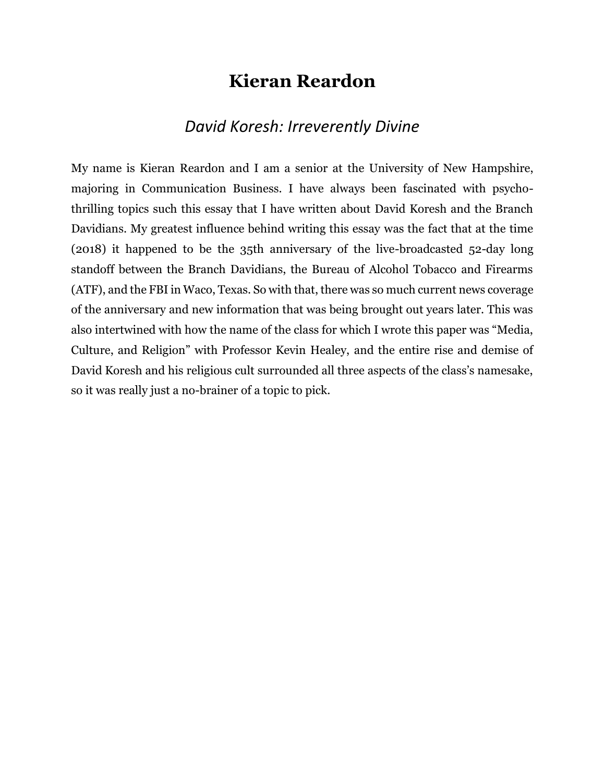### **Kieran Reardon**

#### *David Koresh: Irreverently Divine*

My name is Kieran Reardon and I am a senior at the University of New Hampshire, majoring in Communication Business. I have always been fascinated with psychothrilling topics such this essay that I have written about David Koresh and the Branch Davidians. My greatest influence behind writing this essay was the fact that at the time (2018) it happened to be the 35th anniversary of the live-broadcasted 52-day long standoff between the Branch Davidians, the Bureau of Alcohol Tobacco and Firearms (ATF), and the FBI in Waco, Texas. So with that, there was so much current news coverage of the anniversary and new information that was being brought out years later. This was also intertwined with how the name of the class for which I wrote this paper was "Media, Culture, and Religion" with Professor Kevin Healey, and the entire rise and demise of David Koresh and his religious cult surrounded all three aspects of the class's namesake, so it was really just a no-brainer of a topic to pick.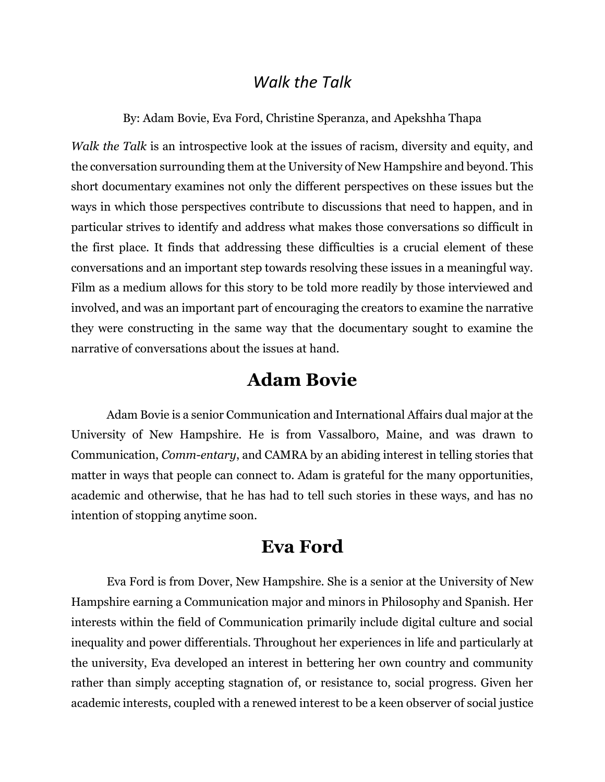#### *Walk the Talk*

By: Adam Bovie, Eva Ford, Christine Speranza, and Apekshha Thapa

*Walk the Talk* is an introspective look at the issues of racism, diversity and equity, and the conversation surrounding them at the University of New Hampshire and beyond. This short documentary examines not only the different perspectives on these issues but the ways in which those perspectives contribute to discussions that need to happen, and in particular strives to identify and address what makes those conversations so difficult in the first place. It finds that addressing these difficulties is a crucial element of these conversations and an important step towards resolving these issues in a meaningful way. Film as a medium allows for this story to be told more readily by those interviewed and involved, and was an important part of encouraging the creators to examine the narrative they were constructing in the same way that the documentary sought to examine the narrative of conversations about the issues at hand.

#### **Adam Bovie**

Adam Bovie is a senior Communication and International Affairs dual major at the University of New Hampshire. He is from Vassalboro, Maine, and was drawn to Communication, *Comm-entary*, and CAMRA by an abiding interest in telling stories that matter in ways that people can connect to. Adam is grateful for the many opportunities, academic and otherwise, that he has had to tell such stories in these ways, and has no intention of stopping anytime soon.

#### **Eva Ford**

Eva Ford is from Dover, New Hampshire. She is a senior at the University of New Hampshire earning a Communication major and minors in Philosophy and Spanish. Her interests within the field of Communication primarily include digital culture and social inequality and power differentials. Throughout her experiences in life and particularly at the university, Eva developed an interest in bettering her own country and community rather than simply accepting stagnation of, or resistance to, social progress. Given her academic interests, coupled with a renewed interest to be a keen observer of social justice